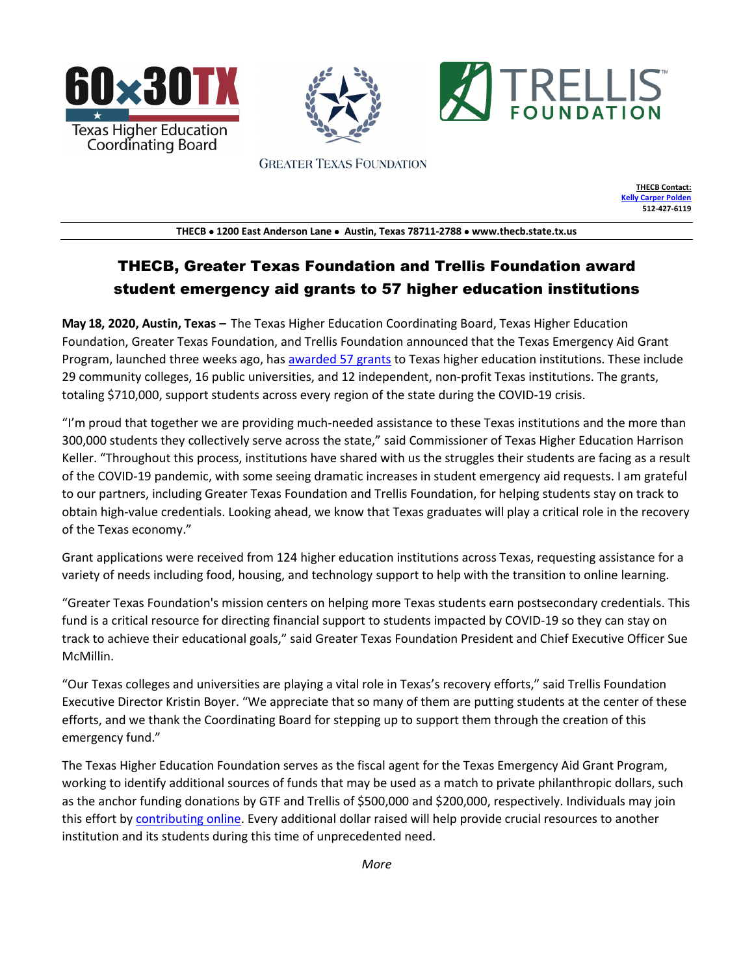





**GREATER TEXAS FOUNDATION** 

**THECB Contact: [Kelly Carper Polden](mailto:Kelly.polden@thecb.state.tx.us) 512-427-6119**

**THECB** • **1200 East Anderson Lane** • **Austin, Texas 78711-2788** • **www.thecb.state.tx.us**

# THECB, Greater Texas Foundation and Trellis Foundation award student emergency aid grants to 57 higher education institutions

**May 18, 2020, Austin, Texas –** The Texas Higher Education Coordinating Board, Texas Higher Education Foundation, Greater Texas Foundation, and Trellis Foundation announced that the Texas Emergency Aid Grant Program, launched three weeks ago, has [awarded 57 grants](https://txhigheredfoundation.org/eagrants/) to Texas higher education institutions. These include 29 community colleges, 16 public universities, and 12 independent, non-profit Texas institutions. The grants, totaling \$710,000, support students across every region of the state during the COVID-19 crisis.

"I'm proud that together we are providing much-needed assistance to these Texas institutions and the more than 300,000 students they collectively serve across the state," said Commissioner of Texas Higher Education Harrison Keller. "Throughout this process, institutions have shared with us the struggles their students are facing as a result of the COVID-19 pandemic, with some seeing dramatic increases in student emergency aid requests. I am grateful to our partners, including Greater Texas Foundation and Trellis Foundation, for helping students stay on track to obtain high-value credentials. Looking ahead, we know that Texas graduates will play a critical role in the recovery of the Texas economy."

Grant applications were received from 124 higher education institutions across Texas, requesting assistance for a variety of needs including food, housing, and technology support to help with the transition to online learning.

"Greater Texas Foundation's mission centers on helping more Texas students earn postsecondary credentials. This fund is a critical resource for directing financial support to students impacted by COVID-19 so they can stay on track to achieve their educational goals," said Greater Texas Foundation President and Chief Executive Officer Sue McMillin.

"Our Texas colleges and universities are playing a vital role in Texas's recovery efforts," said Trellis Foundation Executive Director Kristin Boyer. "We appreciate that so many of them are putting students at the center of these efforts, and we thank the Coordinating Board for stepping up to support them through the creation of this emergency fund."

The Texas Higher Education Foundation serves as the fiscal agent for the Texas Emergency Aid Grant Program, working to identify additional sources of funds that may be used as a match to private philanthropic dollars, such as the anchor funding donations by GTF and Trellis of \$500,000 and \$200,000, respectively. Individuals may join this effort by [contributing online.](https://txhigheredfoundation.org/covidfund/) Every additional dollar raised will help provide crucial resources to another institution and its students during this time of unprecedented need.